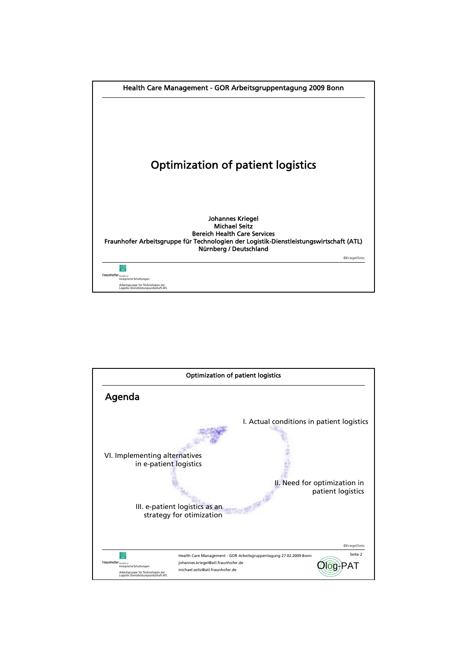

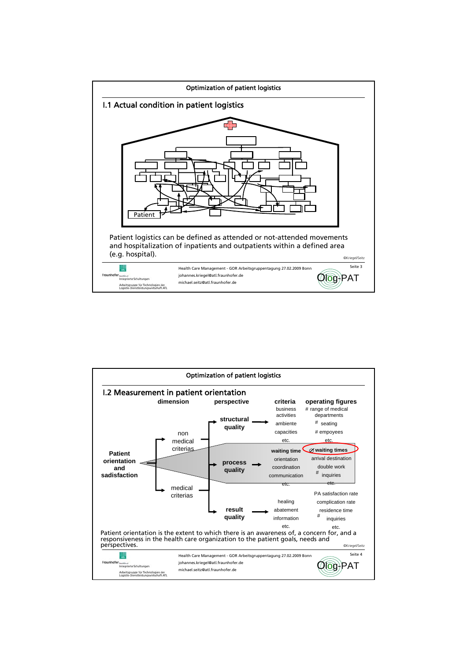

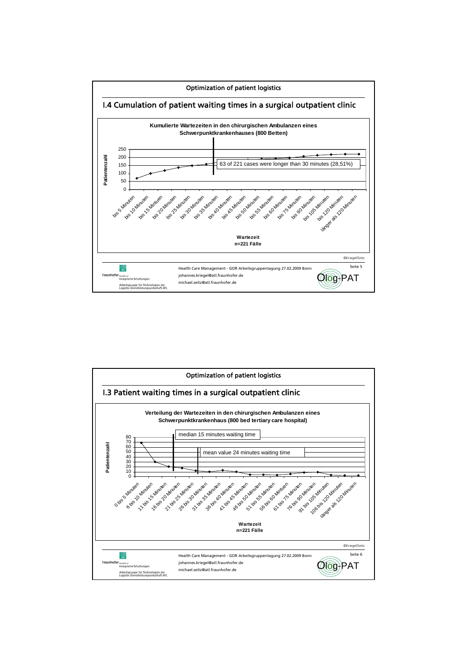

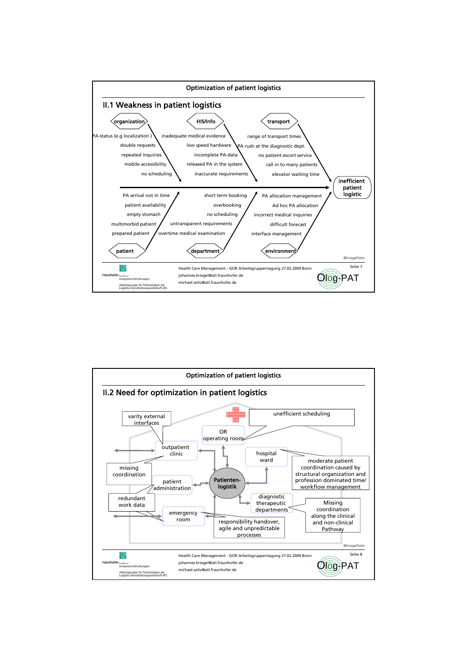

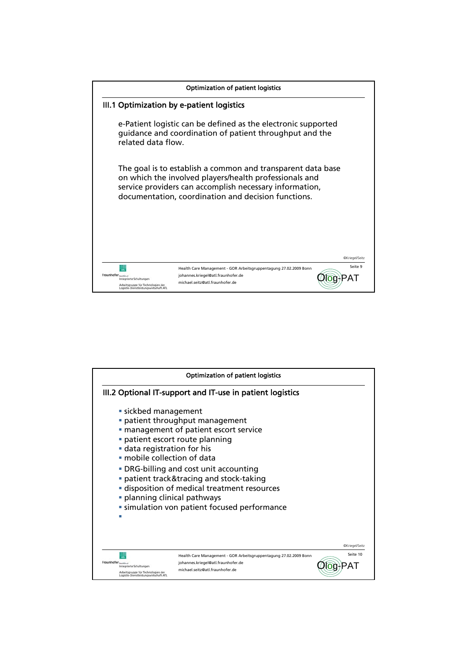

|                     |                                                                                                                | <b>Optimization of patient logistics</b>                                                                                                                                                                                                                                                                   |                |
|---------------------|----------------------------------------------------------------------------------------------------------------|------------------------------------------------------------------------------------------------------------------------------------------------------------------------------------------------------------------------------------------------------------------------------------------------------------|----------------|
|                     |                                                                                                                | III.2 Optional IT-support and IT-use in patient logistics                                                                                                                                                                                                                                                  |                |
|                     | sickbed management<br>data registration for his<br>· mobile collection of data<br>• planning clinical pathways | patient throughput management<br>· management of patient escort service<br>patient escort route planning<br>• DRG-billing and cost unit accounting<br>· patient track&tracing and stock-taking<br><b>-</b> disposition of medical treatment resources<br><b>simulation von patient focused performance</b> | @Kriegel/Seitz |
| Fraunhofer Institut | Integrierte Schaltungen<br>Arbeitsgruppe für Technologien der<br>Logistik-Dienstleistungswirtschaft ATL        | Health Care Management - GOR Arbeitsgruppentagung 27.02.2009 Bonn<br>johannes.kriegel@atl.fraunhofer.de<br>michael.seitz@atl.fraunhofer.de                                                                                                                                                                 | Seite 10       |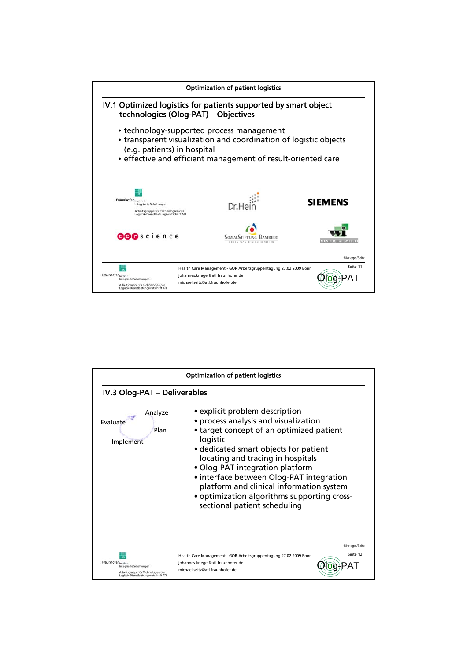

|                                                                                                                                | Optimization of patient logistics                                                                                                                                                                                                                                                                                                                                                                                      |  |  |  |
|--------------------------------------------------------------------------------------------------------------------------------|------------------------------------------------------------------------------------------------------------------------------------------------------------------------------------------------------------------------------------------------------------------------------------------------------------------------------------------------------------------------------------------------------------------------|--|--|--|
| IV.3 Olog-PAT - Deliverables                                                                                                   |                                                                                                                                                                                                                                                                                                                                                                                                                        |  |  |  |
| Analyze<br><b>Fvaluate</b><br>Plan<br>Implement                                                                                | • explicit problem description<br>• process analysis and visualization<br>• target concept of an optimized patient<br>logistic<br>• dedicated smart objects for patient<br>locating and tracing in hospitals<br>• Olog-PAT integration platform<br>• interface between Olog-PAT integration<br>platform and clinical information system<br>• optimization algorithms supporting cross-<br>sectional patient scheduling |  |  |  |
| Fraunhofer institut<br>Integrierte Schaltungen<br>Arbeitsgruppe für Technologien der<br>Logistik-Dienstleistungswirtschaft ATL | @Kriegel/Seitz<br>Seite 12<br>Health Care Management - GOR Arbeitsgruppentagung 27.02.2009 Bonn<br>johannes.kriegel@atl.fraunhofer.de<br>michael.seitz@atl.fraunhofer.de                                                                                                                                                                                                                                               |  |  |  |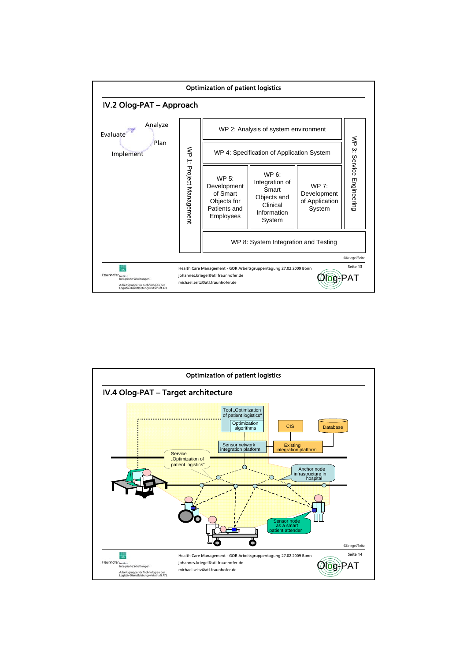

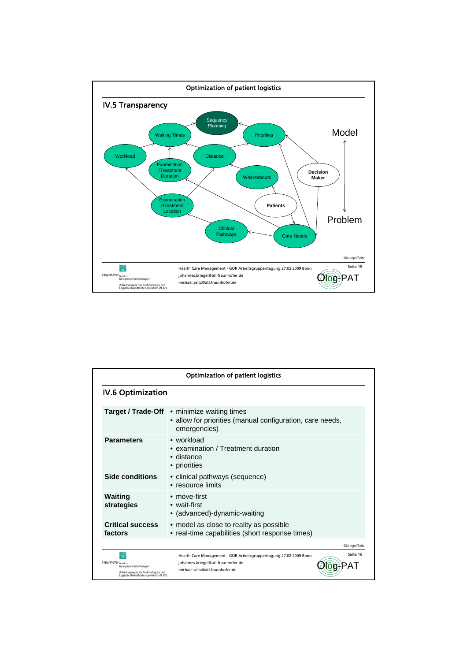

| <b>Optimization of patient logistics</b><br><b>IV.6 Optimization</b>                                                           |                                                                                                                                                        |  |  |  |
|--------------------------------------------------------------------------------------------------------------------------------|--------------------------------------------------------------------------------------------------------------------------------------------------------|--|--|--|
|                                                                                                                                |                                                                                                                                                        |  |  |  |
| <b>Parameters</b>                                                                                                              | $\bullet$ workload<br>• examination / Treatment duration<br>• distance<br>• priorities                                                                 |  |  |  |
| <b>Side conditions</b>                                                                                                         | • clinical pathways (sequence)<br>• resource limits                                                                                                    |  |  |  |
| <b>Waiting</b><br>strategies                                                                                                   | • move-first<br>$\bullet$ wait-first<br>• (advanced)-dynamic-waiting                                                                                   |  |  |  |
| <b>Critical success</b><br>factors                                                                                             | • model as close to reality as possible<br>• real-time capabilities (short response times)                                                             |  |  |  |
|                                                                                                                                | @Kriegel/Seitz                                                                                                                                         |  |  |  |
| Fraunhofer Institut<br>Integrierte Schaltungen<br>Arbeitsgruppe für Technologien der<br>Logistik-Dienstleistungswirtschaft ATL | Seite 16<br>Health Care Management - GOR Arbeitsgruppentagung 27.02.2009 Bonn<br>johannes.kriegel@atl.fraunhofer.de<br>michael.seitz@atl.fraunhofer.de |  |  |  |